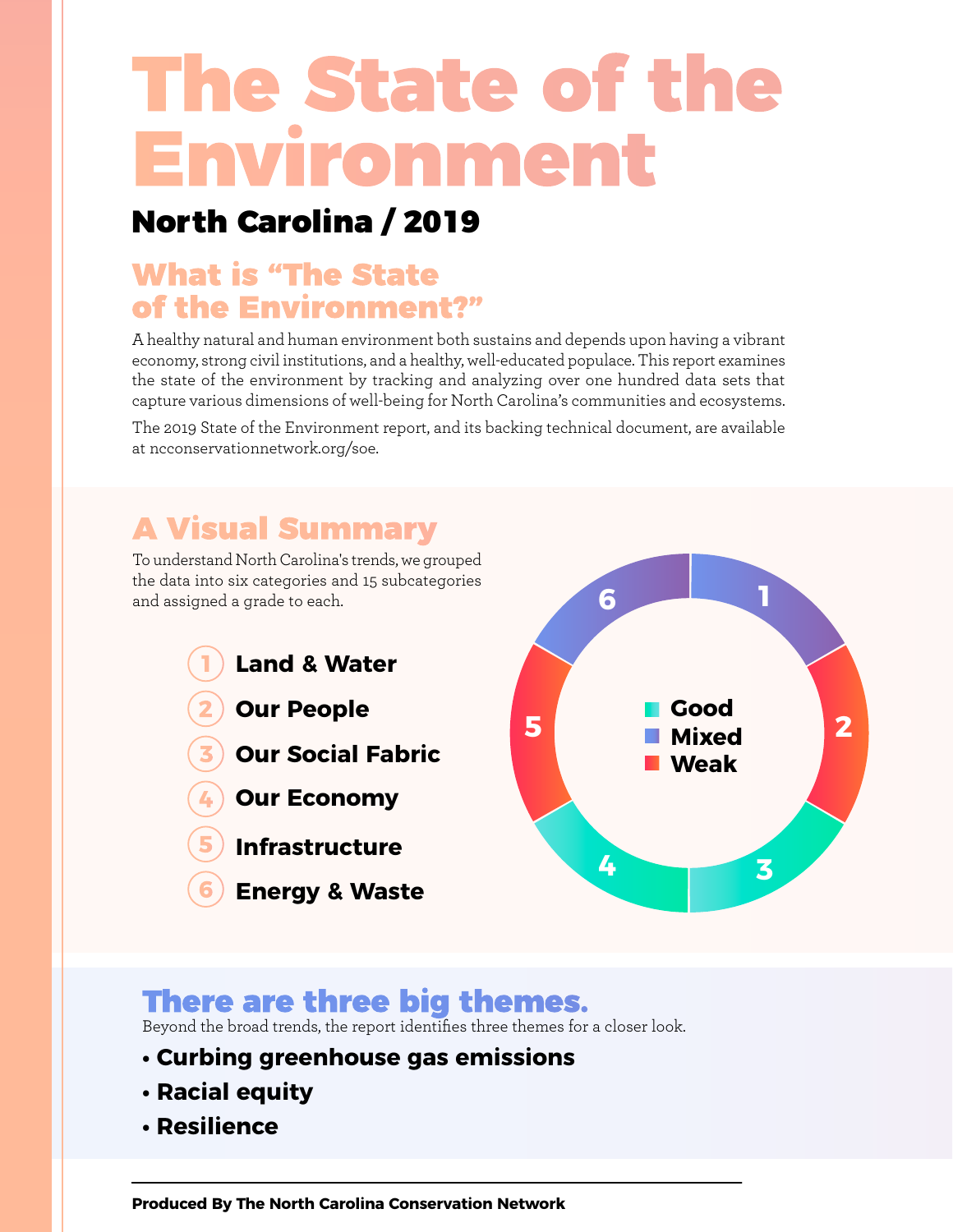# The State of the Environment

# North Carolina / 2019

# What is "The State of the Environment?"

A healthy natural and human environment both sustains and depends upon having a vibrant economy, strong civil institutions, and a healthy, well-educated populace. This report examines the state of the environment by tracking and analyzing over one hundred data sets that capture various dimensions of well-being for North Carolina's communities and ecosystems.

The 2019 State of the Environment report, and its backing technical document, are available at ncconservationnetwork.org/soe.

# A Visual Summary

To understand North Carolina's trends, we grouped the data into six categories and 15 subcategories and assigned a grade to each.

- **1 Land & Water 2 Our People 3 Our Social Fabric 4 Our Economy**
	- **5 Infrastructure**
	- **6 Energy & Waste**



# There are three big themes.

Beyond the broad trends, the report identifies three themes for a closer look.

- **Curbing greenhouse gas emissions**
- **Racial equity**
- **Resilience**

**[Produced By The North Carolina Conservation Network](http://www.ncconservationnetwork.org/)**